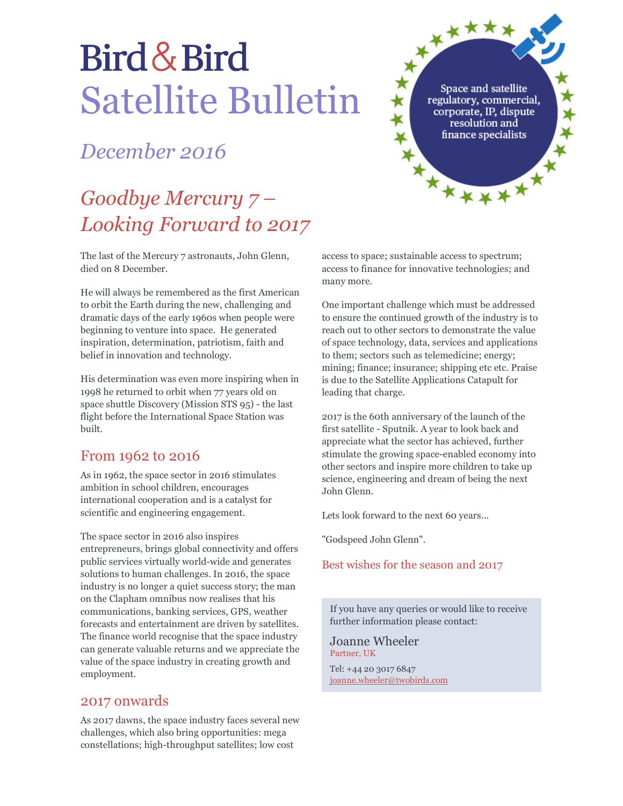# Bird & Bird Satellite Bulletin

## *December 2016*

## *Goodbye Mercury 7 – Looking Forward to 2017*

The last of the Mercury 7 astronauts, John Glenn, died on 8 December.

He will always be remembered as the first American to orbit the Earth during the new, challenging and dramatic days of the early 1960s when people were beginning to venture into space. He generated inspiration, determination, patriotism, faith and belief in innovation and technology.

His determination was even more inspiring when in 1998 he returned to orbit when 77 years old on space shuttle Discovery (Mission STS 95) - the last flight before the International Space Station was built.

#### From 1962 to 2016

As in 1962, the space sector in 2016 stimulates ambition in school children, encourages international cooperation and is a catalyst for scientific and engineering engagement.

The space sector in 2016 also inspires entrepreneurs, brings global connectivity and offers public services virtually world-wide and generates solutions to human challenges. In 2016, the space industry is no longer a quiet success story; the man on the Clapham omnibus now realises that his communications, banking services, GPS, weather forecasts and entertainment are driven by satellites. The finance world recognise that the space industry can generate valuable returns and we appreciate the value of the space industry in creating growth and employment.

#### 2017 onwards

As 2017 dawns, the space industry faces several new challenges, which also bring opportunities: mega constellations; high-throughput satellites; low cost

access to space; sustainable access to spectrum; access to finance for innovative technologies; and many more.

Space and satellite<br>regulatory, commercial,<br>corporate, IP, dispute<br>resolution and<br>finance specialists

One important challenge which must be addressed to ensure the continued growth of the industry is to reach out to other sectors to demonstrate the value of space technology, data, services and applications to them; sectors such as telemedicine; energy; mining; finance; insurance; shipping etc etc. Praise is due to the Satellite Applications Catapult for leading that charge.

2017 is the 60th anniversary of the launch of the first satellite - Sputnik. A year to look back and appreciate what the sector has achieved, further stimulate the growing space-enabled economy into other sectors and inspire more children to take up science, engineering and dream of being the next John Glenn.

Lets look forward to the next 60 years...

"Godspeed John Glenn".

#### Best wishes for the season and 2017

If you have any queries or would like to receive further information please contact:

Joanne Wheeler Partner, UK

Tel: +44 20 3017 6847 joanne.wheeler@twobirds.com